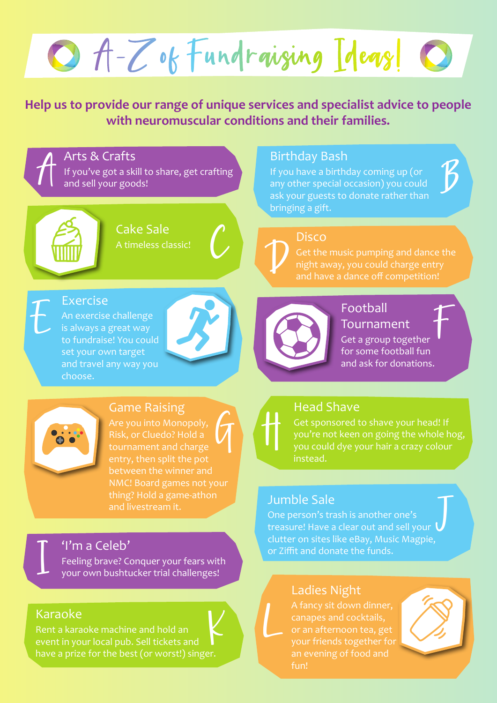O A-Z of Fundraising Ideas!

**Help us to provide our range of unique services and specialist advice to people with neuromuscular conditions and their families.**

 $\mathcal{I}$ Arts & Crafts

If you've got a skill to share, get crafting and sell your goods!



 $\mathbb{C}$ 

Cake Sale A timeless classic!

# **V**

Birthday Bash

bringing a gift.

If you have a birthday coming up (or any other special occasion) you could ask your guests to donate rather than

> **Disco** Get the music pumping and dance the night away, you could charge entry and have a dance off competition!

 $\boldsymbol{D}$ 

### Exercise

An exercise challenge is always a great way to fundraise! You could set your own target and travel any way you choose.



 $\bigcup$ 

## Football Tournament

 $\mathcal T$ Get a group together for some football fun and ask for donations.



#### Game Raising

 $\bm{\mathcal{A}}$ Risk, or Cluedo? Hold a tournament and charge between the winner and and livestream it.

# H

## Head Shave

Get sponsored to shave your head! If you're not keen on going the whole hog, you could dye your hair a crazy colour instead.

## Jumble Sale

One person's trash is another one's<br>treasure! Have a clear out and sell your  $\bigcup$ One person's trash is another one's clutter on sites like eBay, Music Magpie, or Ziffit and donate the funds.

# Ladies Night

canapes and cocktails, or an afternoon tea, get an evening of food and fun!



#### 'I'm a Celeb'

Feeling brave? Conquer your fears with your own bushtucker trial challenges!

## Karaoke

I

 $K \setminus L$ Rent a karaoke machine and hold an event in your local pub. Sell tickets and have a prize for the best (or worst!) singer.